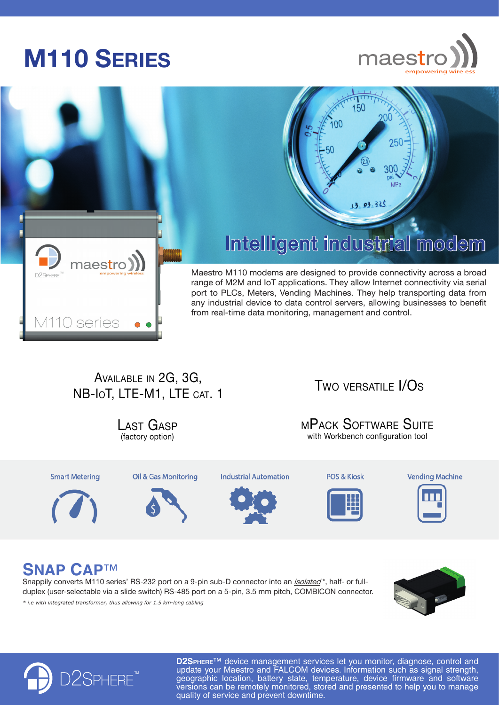# **M110 Series**



250



## **Intelligent industrial modem**

150

Maestro M110 modems are designed to provide connectivity across a broad range of M2M and IoT applications. They allow Internet connectivity via serial port to PLCs, Meters, Vending Machines. They help transporting data from any industrial device to data control servers, allowing businesses to benefit from real-time data monitoring, management and control.

### Available in 2G, 3G, NB-IoT, LTE-M1, LTE CAT. 1

(factory option) Last Gasp

**Smart Metering** 





**Industrial Automation** 



POS & Kiosk

**Vending** 



Two versatile I/Os

with Workbench configuration tool mPack Software Suite

**Vending Machine** 



## **SNAP CAP**™

Snappily converts M110 series' RS-232 port on a 9-pin sub-D connector into an *isolated*<sup>\*</sup>, half- or fullduplex (user-selectable via a slide switch) RS-485 port on a 5-pin, 3.5 mm pitch, COMBICON connector. *\* i.e with integrated transformer, thus allowing for 1.5 km-long cabling*





**D2SPHERE™** device management services let you monitor, diagnose, control and update your Maestro and FALCOM devices. Information such as signal strength, geographic location, battery state, temperature, device firmware and software versions can be remotely monitored, stored and presented to help you to manage quality of service and prevent downtime.